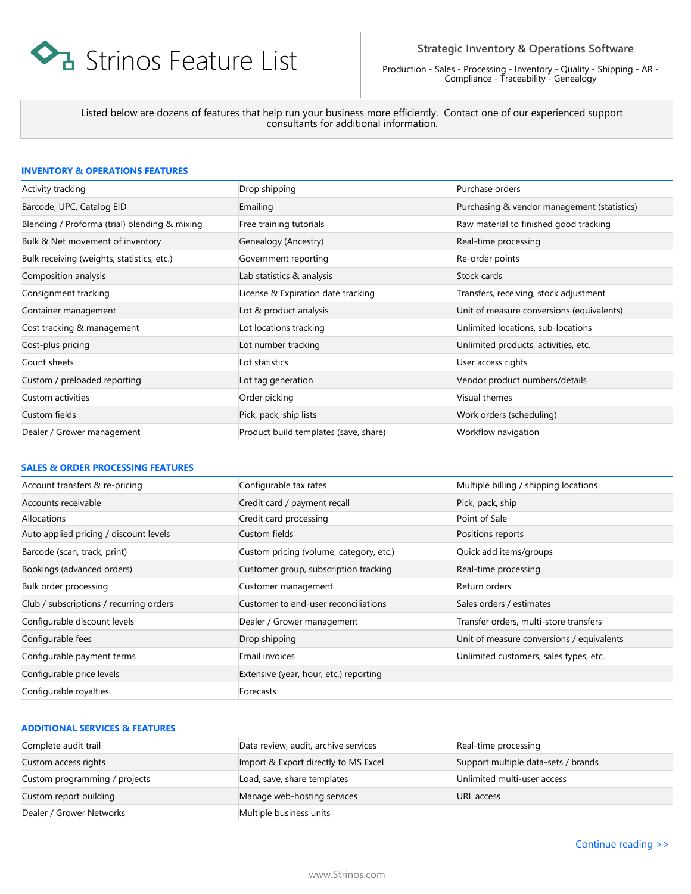

Production - Sales - Processing - Inventory - Quality - Shipping - AR - Compliance - Traceability - Genealogy

Listed below are dozens of features that help run your business more efficiently. Contact one of our experienced support consultants for additional information.

### **INVENTORY & OPERATIONS FEATURES**

| Activity tracking                             | Drop shipping                         | Purchase orders                             |
|-----------------------------------------------|---------------------------------------|---------------------------------------------|
| Barcode, UPC, Catalog EID                     | Emailing                              | Purchasing & vendor management (statistics) |
| Blending / Proforma (trial) blending & mixing | Free training tutorials               | Raw material to finished good tracking      |
| Bulk & Net movement of inventory              | Genealogy (Ancestry)                  | Real-time processing                        |
| Bulk receiving (weights, statistics, etc.)    | Government reporting                  | Re-order points                             |
| Composition analysis                          | Lab statistics & analysis             | Stock cards                                 |
| Consignment tracking                          | License & Expiration date tracking    | Transfers, receiving, stock adjustment      |
| Container management                          | Lot & product analysis                | Unit of measure conversions (equivalents)   |
| Cost tracking & management                    | Lot locations tracking                | Unlimited locations, sub-locations          |
| Cost-plus pricing                             | Lot number tracking                   | Unlimited products, activities, etc.        |
| Count sheets                                  | Lot statistics                        | User access rights                          |
| Custom / preloaded reporting                  | Lot tag generation                    | Vendor product numbers/details              |
| Custom activities                             | Order picking                         | Visual themes                               |
| Custom fields                                 | Pick, pack, ship lists                | Work orders (scheduling)                    |
| Dealer / Grower management                    | Product build templates (save, share) | Workflow navigation                         |

#### **SALES & ORDER PROCESSING FEATURES**

| Account transfers & re-pricing          | Configurable tax rates                  | Multiple billing / shipping locations     |
|-----------------------------------------|-----------------------------------------|-------------------------------------------|
| Accounts receivable                     | Credit card / payment recall            | Pick, pack, ship                          |
| Allocations                             | Credit card processing                  | Point of Sale                             |
| Auto applied pricing / discount levels  | Custom fields                           | Positions reports                         |
| Barcode (scan, track, print)            | Custom pricing (volume, category, etc.) | Quick add items/groups                    |
| Bookings (advanced orders)              | Customer group, subscription tracking   | Real-time processing                      |
| Bulk order processing                   | Customer management                     | Return orders                             |
| Club / subscriptions / recurring orders | Customer to end-user reconciliations    | Sales orders / estimates                  |
| Configurable discount levels            | Dealer / Grower management              | Transfer orders, multi-store transfers    |
| Configurable fees                       | Drop shipping                           | Unit of measure conversions / equivalents |
| Configurable payment terms              | Email invoices                          | Unlimited customers, sales types, etc.    |
| Configurable price levels               | Extensive (year, hour, etc.) reporting  |                                           |
| Configurable royalties                  | Forecasts                               |                                           |

## **ADDITIONAL SERVICES & FEATURES**

| Complete audit trail          | Data review, audit, archive services | Real-time processing                |
|-------------------------------|--------------------------------------|-------------------------------------|
| Custom access rights          | Import & Export directly to MS Excel | Support multiple data-sets / brands |
| Custom programming / projects | Load, save, share templates          | Unlimited multi-user access         |
| Custom report building        | Manage web-hosting services          | URL access                          |
| Dealer / Grower Networks      | Multiple business units              |                                     |